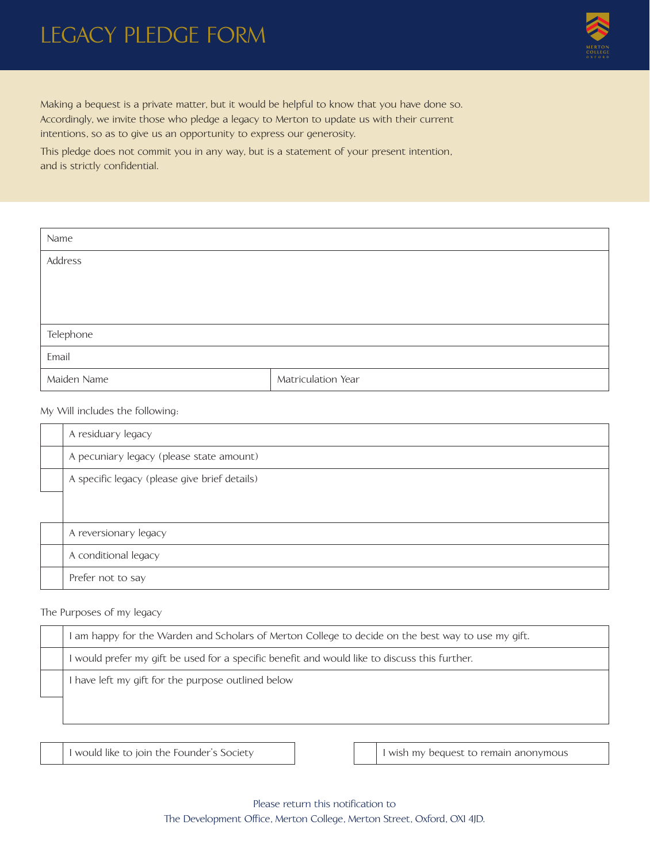## LEGACY PLEDGE FORM



Making a bequest is a private matter, but it would be helpful to know that you have done so. Accordingly, we invite those who pledge a legacy to Merton to update us with their current intentions, so as to give us an opportunity to express our generosity.

This pledge does not commit you in any way, but is a statement of your present intention, and is strictly confidential.

| Name        |                    |  |
|-------------|--------------------|--|
| Address     |                    |  |
|             |                    |  |
|             |                    |  |
| Telephone   |                    |  |
|             |                    |  |
| Email       |                    |  |
| Maiden Name | Matriculation Year |  |

My Will includes the following:

| A residuary legacy                            |
|-----------------------------------------------|
| A pecuniary legacy (please state amount)      |
| A specific legacy (please give brief details) |
|                                               |
| A reversionary legacy                         |
| A conditional legacy                          |
| Prefer not to say                             |

## The Purposes of my legacy

| I am happy for the Warden and Scholars of Merton College to decide on the best way to use my gift. |  |
|----------------------------------------------------------------------------------------------------|--|
| I would prefer my gift be used for a specific benefit and would like to discuss this further.      |  |
| I have left my gift for the purpose outlined below                                                 |  |
|                                                                                                    |  |

I would like to join the Founder's Society I wish my bequest to remain anonymous

Please return this notification to The Development Office, Merton College, Merton Street, Oxford, OX1 4JD.